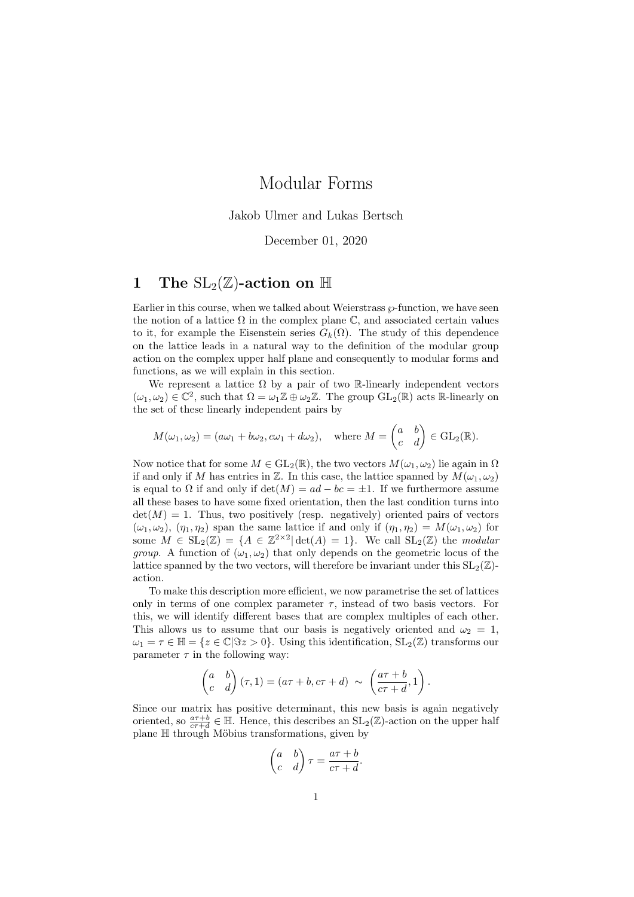# Modular Forms

Jakob Ulmer and Lukas Bertsch

## December 01, 2020

# 1 The  $\text{SL}_2(\mathbb{Z})$ -action on  $\mathbb{H}$

Earlier in this course, when we talked about Weierstrass  $\wp$ -function, we have seen the notion of a lattice  $\Omega$  in the complex plane  $\mathbb{C}$ , and associated certain values to it, for example the Eisenstein series  $G_k(\Omega)$ . The study of this dependence on the lattice leads in a natural way to the definition of the modular group action on the complex upper half plane and consequently to modular forms and functions, as we will explain in this section.

We represent a lattice  $\Omega$  by a pair of two R-linearly independent vectors  $(\omega_1, \omega_2) \in \mathbb{C}^2$ , such that  $\Omega = \omega_1 \mathbb{Z} \oplus \omega_2 \mathbb{Z}$ . The group  $GL_2(\mathbb{R})$  acts R-linearly on the set of these linearly independent pairs by

$$
M(\omega_1, \omega_2) = (a\omega_1 + b\omega_2, c\omega_1 + d\omega_2), \text{ where } M = \begin{pmatrix} a & b \\ c & d \end{pmatrix} \in GL_2(\mathbb{R}).
$$

Now notice that for some  $M \in GL_2(\mathbb{R})$ , the two vectors  $M(\omega_1, \omega_2)$  lie again in  $\Omega$ if and only if M has entries in Z. In this case, the lattice spanned by  $M(\omega_1, \omega_2)$ is equal to  $\Omega$  if and only if  $\det(M) = ad - bc = \pm 1$ . If we furthermore assume all these bases to have some fixed orientation, then the last condition turns into  $det(M) = 1$ . Thus, two positively (resp. negatively) oriented pairs of vectors  $(\omega_1, \omega_2)$ ,  $(\eta_1, \eta_2)$  span the same lattice if and only if  $(\eta_1, \eta_2) = M(\omega_1, \omega_2)$  for some  $M \in SL_2(\mathbb{Z}) = \{A \in \mathbb{Z}^{2 \times 2} | \det(A) = 1\}.$  We call  $SL_2(\mathbb{Z})$  the *modular group.* A function of  $(\omega_1, \omega_2)$  that only depends on the geometric locus of the lattice spanned by the two vectors, will therefore be invariant under this  $SL_2(\mathbb{Z})$ action.

To make this description more efficient, we now parametrise the set of lattices only in terms of one complex parameter  $\tau$ , instead of two basis vectors. For this, we will identify different bases that are complex multiples of each other. This allows us to assume that our basis is negatively oriented and  $\omega_2 = 1$ ,  $\omega_1 = \tau \in \mathbb{H} = \{z \in \mathbb{C} | \Im z > 0\}.$  Using this identification,  $SL_2(\mathbb{Z})$  transforms our parameter  $\tau$  in the following way:

$$
\begin{pmatrix} a & b \ c & d \end{pmatrix} (\tau, 1) = (a\tau + b, c\tau + d) \sim \left( \frac{a\tau + b}{c\tau + d}, 1 \right).
$$

Since our matrix has positive determinant, this new basis is again negatively oriented, so  $\frac{a\tau+b}{c\tau+d} \in \mathbb{H}$ . Hence, this describes an  $SL_2(\mathbb{Z})$ -action on the upper half plane  $H$  through Möbius transformations, given by

$$
\begin{pmatrix} a & b \\ c & d \end{pmatrix} \tau = \frac{a\tau + b}{c\tau + d}.
$$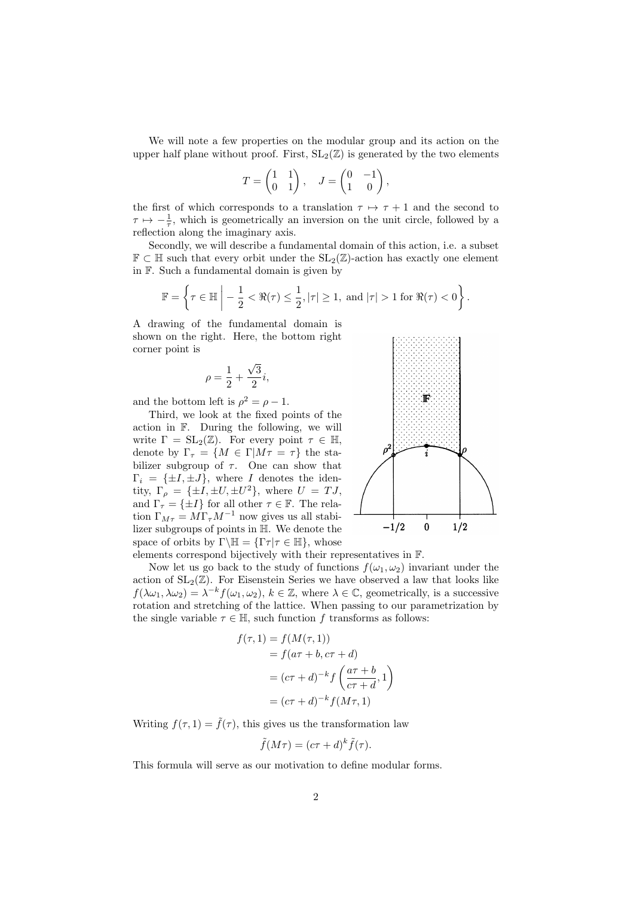We will note a few properties on the modular group and its action on the upper half plane without proof. First,  $SL_2(\mathbb{Z})$  is generated by the two elements

$$
T = \begin{pmatrix} 1 & 1 \\ 0 & 1 \end{pmatrix}, \quad J = \begin{pmatrix} 0 & -1 \\ 1 & 0 \end{pmatrix},
$$

the first of which corresponds to a translation  $\tau \mapsto \tau + 1$  and the second to  $\tau \mapsto -\frac{1}{\tau}$ , which is geometrically an inversion on the unit circle, followed by a reflection along the imaginary axis.

Secondly, we will describe a fundamental domain of this action, i.e. a subset  $\mathbb{F} \subset \mathbb{H}$  such that every orbit under the  $SL_2(\mathbb{Z})$ -action has exactly one element in F. Such a fundamental domain is given by

$$
\mathbb{F} = \left\{ \tau \in \mathbb{H} \; \middle| \; -\frac{1}{2} < \Re(\tau) \leq \frac{1}{2}, |\tau| \geq 1, \text{ and } |\tau| > 1 \text{ for } \Re(\tau) < 0 \right\}.
$$

A drawing of the fundamental domain is shown on the right. Here, the bottom right corner point is

$$
\rho = \frac{1}{2} + \frac{\sqrt{3}}{2}i,
$$

and the bottom left is  $\rho^2 = \rho - 1$ .

Third, we look at the fixed points of the action in F. During the following, we will write  $\Gamma = SL_2(\mathbb{Z})$ . For every point  $\tau \in \mathbb{H}$ , denote by  $\Gamma_{\tau} = \{M \in \Gamma | M\tau = \tau\}$  the stabilizer subgroup of  $\tau$ . One can show that  $\Gamma_i = {\pm I, \pm J},$  where I denotes the identity,  $\Gamma_{\rho} = {\pm I, \pm U, \pm U^2}$ , where  $U = TJ$ , and  $\Gamma_{\tau} = {\pm I}$  for all other  $\tau \in \mathbb{F}$ . The relation  $\Gamma_{M\tau} = M \Gamma_{\tau} M^{-1}$  now gives us all stabilizer subgroups of points in H. We denote the space of orbits by  $\Gamma \backslash \mathbb{H} = {\Gamma \tau | \tau \in \mathbb{H}}$ , whose



elements correspond bijectively with their representatives in F.

Now let us go back to the study of functions  $f(\omega_1, \omega_2)$  invariant under the action of  $SL_2(\mathbb{Z})$ . For Eisenstein Series we have observed a law that looks like  $f(\lambda \omega_1, \lambda \omega_2) = \lambda^{-k} f(\omega_1, \omega_2), k \in \mathbb{Z}$ , where  $\lambda \in \mathbb{C}$ , geometrically, is a successive rotation and stretching of the lattice. When passing to our parametrization by the single variable  $\tau \in \mathbb{H}$ , such function f transforms as follows:

$$
f(\tau, 1) = f(M(\tau, 1))
$$
  
=  $f(a\tau + b, c\tau + d)$   
=  $(c\tau + d)^{-k} f\left(\frac{a\tau + b}{c\tau + d}, 1\right)$   
=  $(c\tau + d)^{-k} f(M\tau, 1)$ 

Writing  $f(\tau, 1) = \tilde{f}(\tau)$ , this gives us the transformation law

$$
\tilde{f}(M\tau) = (c\tau + d)^k \tilde{f}(\tau).
$$

This formula will serve as our motivation to define modular forms.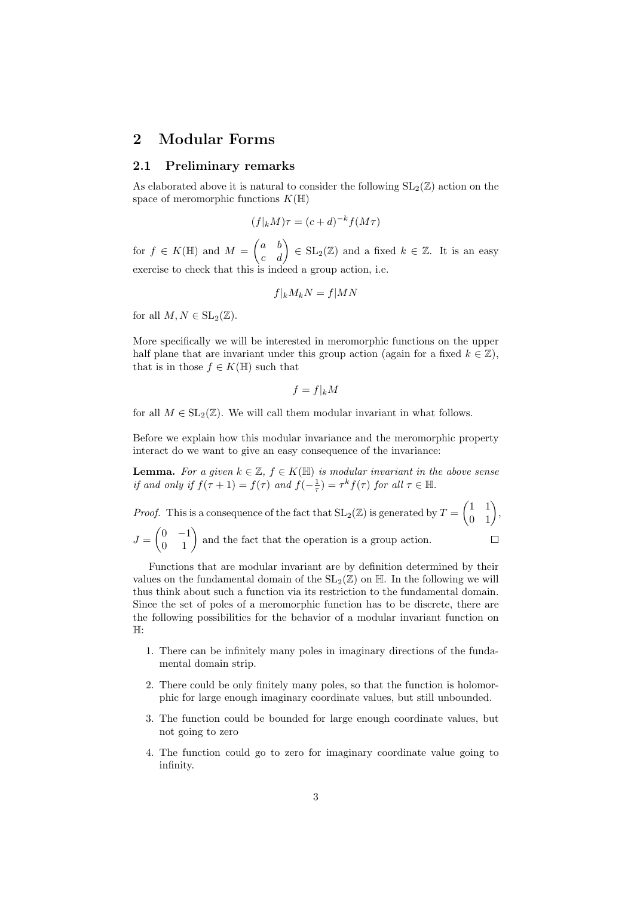# 2 Modular Forms

## 2.1 Preliminary remarks

As elaborated above it is natural to consider the following  $SL_2(\mathbb{Z})$  action on the space of meromorphic functions  $K(\mathbb{H})$ 

$$
(f|_k M)\tau = (c+d)^{-k} f(M\tau)
$$

for  $f \in K(\mathbb{H})$  and  $M = \begin{pmatrix} a & b \\ c & d \end{pmatrix} \in SL_2(\mathbb{Z})$  and a fixed  $k \in \mathbb{Z}$ . It is an easy exercise to check that this is indeed a group action, i.e.

$$
f|_k M_k N = f|MN
$$

for all  $M, N \in SL_2(\mathbb{Z})$ .

More specifically we will be interested in meromorphic functions on the upper half plane that are invariant under this group action (again for a fixed  $k \in \mathbb{Z}$ ), that is in those  $f \in K(\mathbb{H})$  such that

$$
f = f|_k M
$$

for all  $M \in SL_2(\mathbb{Z})$ . We will call them modular invariant in what follows.

Before we explain how this modular invariance and the meromorphic property interact do we want to give an easy consequence of the invariance:

**Lemma.** For a given  $k \in \mathbb{Z}$ ,  $f \in K(\mathbb{H})$  is modular invariant in the above sense if and only if  $f(\tau + 1) = f(\tau)$  and  $f(-\frac{1}{\tau}) = \tau^k f(\tau)$  for all  $\tau \in \mathbb{H}$ .

*Proof.* This is a consequence of the fact that  $SL_2(\mathbb{Z})$  is generated by  $T = \begin{pmatrix} 1 & 1 \\ 0 & 1 \end{pmatrix}$ ,  $J = \begin{pmatrix} 0 & -1 \\ 0 & 1 \end{pmatrix}$  and the fact that the operation is a group action.  $\Box$ 

Functions that are modular invariant are by definition determined by their values on the fundamental domain of the  $SL_2(\mathbb{Z})$  on  $\mathbb{H}$ . In the following we will thus think about such a function via its restriction to the fundamental domain. Since the set of poles of a meromorphic function has to be discrete, there are the following possibilities for the behavior of a modular invariant function on H:

- 1. There can be infinitely many poles in imaginary directions of the fundamental domain strip.
- 2. There could be only finitely many poles, so that the function is holomorphic for large enough imaginary coordinate values, but still unbounded.
- 3. The function could be bounded for large enough coordinate values, but not going to zero
- 4. The function could go to zero for imaginary coordinate value going to infinity.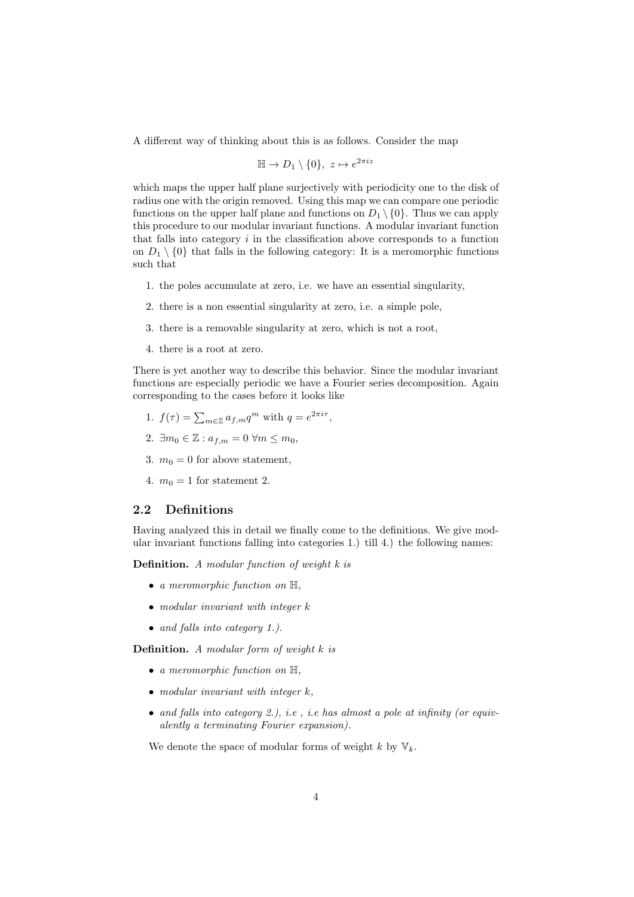A different way of thinking about this is as follows. Consider the map

$$
\mathbb{H} \to D_1 \setminus \{0\}, \ z \mapsto e^{2\pi i z}
$$

which maps the upper half plane surjectively with periodicity one to the disk of radius one with the origin removed. Using this map we can compare one periodic functions on the upper half plane and functions on  $D_1 \setminus \{0\}$ . Thus we can apply this procedure to our modular invariant functions. A modular invariant function that falls into category  $i$  in the classification above corresponds to a function on  $D_1 \setminus \{0\}$  that falls in the following category: It is a meromorphic functions such that

- 1. the poles accumulate at zero, i.e. we have an essential singularity,
- 2. there is a non essential singularity at zero, i.e. a simple pole,
- 3. there is a removable singularity at zero, which is not a root,
- 4. there is a root at zero.

There is yet another way to describe this behavior. Since the modular invariant functions are especially periodic we have a Fourier series decomposition. Again corresponding to the cases before it looks like

- 1.  $f(\tau) = \sum_{m \in \mathbb{Z}} a_{f,m} q^m$  with  $q = e^{2\pi i \tau}$ ,
- 2.  $\exists m_0 \in \mathbb{Z} : a_{f,m} = 0 \ \forall m \leq m_0$
- 3.  $m_0 = 0$  for above statement,
- 4.  $m_0 = 1$  for statement 2.

## 2.2 Definitions

Having analyzed this in detail we finally come to the definitions. We give modular invariant functions falling into categories 1.) till 4.) the following names:

**Definition.** A modular function of weight  $k$  is

- a meromorphic function on  $\mathbb{H}$ ,
- modular invariant with integer  $k$
- and falls into category 1.).

Definition. A modular form of weight k is

- a meromorphic function on  $\mathbb{H}$ ,
- modular invariant with integer  $k$ ,
- and falls into category 2.), i.e., i.e has almost a pole at infinity (or equivalently a terminating Fourier expansion).

We denote the space of modular forms of weight k by  $\mathbb{V}_k$ .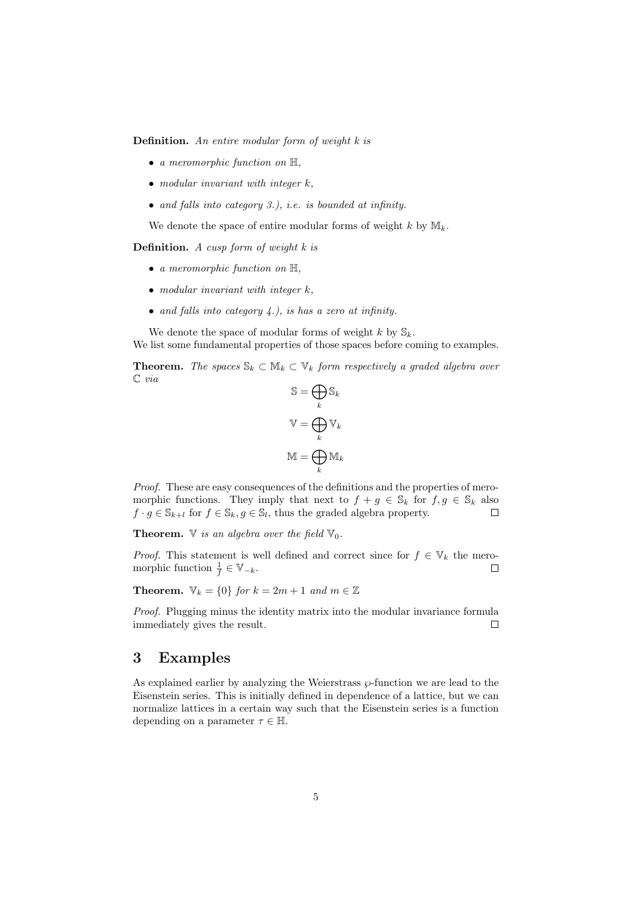Definition. An entire modular form of weight k is

- a meromorphic function on  $\mathbb{H}$ ,
- modular invariant with integer  $k$ ,
- and falls into category 3.), i.e. is bounded at infinity.

We denote the space of entire modular forms of weight k by  $\mathbb{M}_k$ .

**Definition.** A cusp form of weight  $k$  is

- a meromorphic function on  $\mathbb{H}$ ,
- modular invariant with integer  $k$ ,
- and falls into category  $4$ .), is has a zero at infinity.

We denote the space of modular forms of weight k by  $\mathbb{S}_k$ . We list some fundamental properties of those spaces before coming to examples.

**Theorem.** The spaces  $\mathbb{S}_k \subset \mathbb{M}_k \subset \mathbb{V}_k$  form respectively a graded algebra over C via

$$
S = \bigoplus_{k} S_{k}
$$

$$
V = \bigoplus_{k} V_{k}
$$

$$
M = \bigoplus_{k} M_{k}
$$

Proof. These are easy consequences of the definitions and the properties of meromorphic functions. They imply that next to  $f + g \in \mathbb{S}_k$  for  $f, g \in \mathbb{S}_k$  also  $f \cdot g \in \mathbb{S}_{k+l}$  for  $f \in \mathbb{S}_k, g \in \mathbb{S}_l$ , thus the graded algebra property. П

**Theorem.**  $\nabla$  is an algebra over the field  $\nabla_0$ .

*Proof.* This statement is well defined and correct since for  $f \in V_k$  the meromorphic function  $\frac{1}{f} \in \mathbb{V}_{-k}$ .  $\Box$ 

**Theorem.**  $\mathbb{V}_k = \{0\}$  for  $k = 2m + 1$  and  $m \in \mathbb{Z}$ 

Proof. Plugging minus the identity matrix into the modular invariance formula immediately gives the result.  $\Box$ 

# 3 Examples

As explained earlier by analyzing the Weierstrass  $\wp$ -function we are lead to the Eisenstein series. This is initially defined in dependence of a lattice, but we can normalize lattices in a certain way such that the Eisenstein series is a function depending on a parameter  $\tau \in \mathbb{H}$ .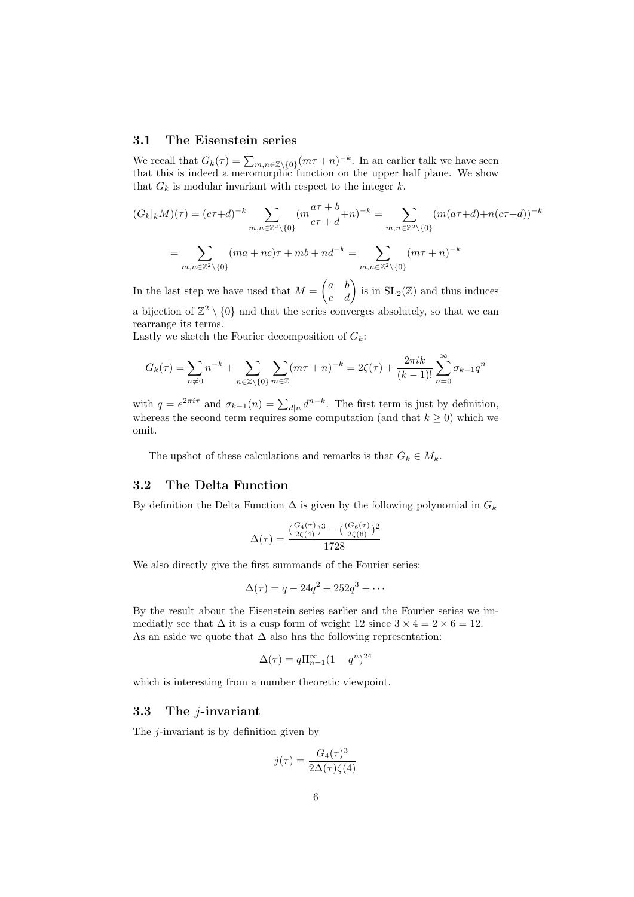## 3.1 The Eisenstein series

We recall that  $G_k(\tau) = \sum_{m,n \in \mathbb{Z}\setminus\{0\}} (m\tau + n)^{-k}$ . In an earlier talk we have seen that this is indeed a meromorphic function on the upper half plane. We show that  $G_k$  is modular invariant with respect to the integer  $k$ .

$$
(G_k|_k M)(\tau) = (c\tau + d)^{-k} \sum_{m,n \in \mathbb{Z}^2 \backslash \{0\}} (m \frac{a\tau + b}{c\tau + d} + n)^{-k} = \sum_{m,n \in \mathbb{Z}^2 \backslash \{0\}} (m(a\tau + d) + n(c\tau + d))^{-k}
$$

$$
= \sum_{m,n \in \mathbb{Z}^2 \backslash \{0\}} (ma + nc)\tau + mb + nd^{-k} = \sum_{m,n \in \mathbb{Z}^2 \backslash \{0\}} (m\tau + n)^{-k}
$$

In the last step we have used that  $M = \begin{pmatrix} a & b \\ c & d \end{pmatrix}$  is in  $SL_2(\mathbb{Z})$  and thus induces a bijection of  $\mathbb{Z}^2 \setminus \{0\}$  and that the series converges absolutely, so that we can

Lastly we sketch the Fourier decomposition of  $G_k$ :

$$
G_k(\tau) = \sum_{n \neq 0} n^{-k} + \sum_{n \in \mathbb{Z} \setminus \{0\}} \sum_{m \in \mathbb{Z}} (m\tau + n)^{-k} = 2\zeta(\tau) + \frac{2\pi i k}{(k-1)!} \sum_{n=0}^{\infty} \sigma_{k-1} q^n
$$

with  $q = e^{2\pi i \tau}$  and  $\sigma_{k-1}(n) = \sum_{d|n} d^{n-k}$ . The first term is just by definition, whereas the second term requires some computation (and that  $k \geq 0$ ) which we omit.

The upshot of these calculations and remarks is that  $G_k \in M_k$ .

## 3.2 The Delta Function

rearrange its terms.

By definition the Delta Function  $\Delta$  is given by the following polynomial in  $G_k$ 

$$
\Delta(\tau) = \frac{(\frac{G_4(\tau)}{2\zeta(4)})^3 - (\frac{(G_6(\tau)}{2\zeta(6)})^2}{1728}
$$

We also directly give the first summands of the Fourier series:

$$
\Delta(\tau) = q - 24q^2 + 252q^3 + \cdots
$$

By the result about the Eisenstein series earlier and the Fourier series we immediatly see that  $\Delta$  it is a cusp form of weight 12 since  $3 \times 4 = 2 \times 6 = 12$ . As an aside we quote that  $\Delta$  also has the following representation:

$$
\Delta(\tau) = q \Pi_{n=1}^{\infty} (1 - q^n)^{24}
$$

which is interesting from a number theoretic viewpoint.

### 3.3 The j-invariant

The j-invariant is by definition given by

$$
j(\tau) = \frac{G_4(\tau)^3}{2\Delta(\tau)\zeta(4)}
$$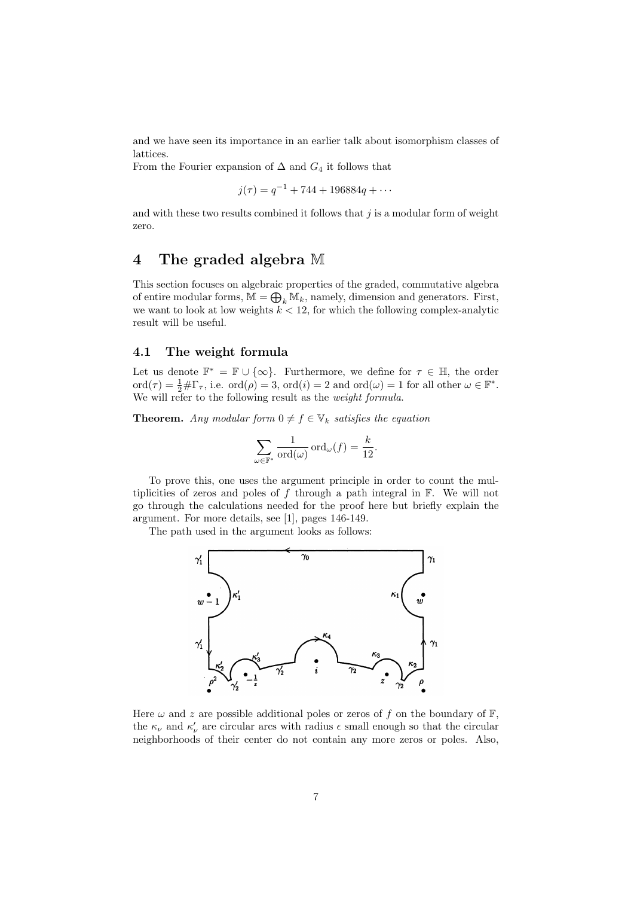and we have seen its importance in an earlier talk about isomorphism classes of lattices.

From the Fourier expansion of  $\Delta$  and  $G_4$  it follows that

$$
j(\tau) = q^{-1} + 744 + 196884q + \cdots
$$

and with these two results combined it follows that  $j$  is a modular form of weight zero.

## 4 The graded algebra M

This section focuses on algebraic properties of the graded, commutative algebra of entire modular forms,  $\mathbb{M} = \bigoplus_k \mathbb{M}_k$ , namely, dimension and generators. First, we want to look at low weights  $k < 12$ , for which the following complex-analytic result will be useful.

## 4.1 The weight formula

Let us denote  $\mathbb{F}^* = \mathbb{F} \cup \{\infty\}$ . Furthermore, we define for  $\tau \in \mathbb{H}$ , the order  $\text{ord}(\tau) = \frac{1}{2} \# \Gamma_{\tau}$ , i.e.  $\text{ord}(\rho) = 3$ ,  $\text{ord}(i) = 2$  and  $\text{ord}(\omega) = 1$  for all other  $\omega \in \mathbb{F}^*$ . We will refer to the following result as the *weight formula*.

**Theorem.** Any modular form  $0 \neq f \in V_k$  satisfies the equation

$$
\sum_{\omega \in \mathbb{F}^*} \frac{1}{\text{ord}(\omega)} \text{ord}_{\omega}(f) = \frac{k}{12}.
$$

To prove this, one uses the argument principle in order to count the multiplicities of zeros and poles of  $f$  through a path integral in  $\mathbb{F}$ . We will not go through the calculations needed for the proof here but briefly explain the argument. For more details, see [1], pages 146-149.

The path used in the argument looks as follows:



Here  $\omega$  and z are possible additional poles or zeros of f on the boundary of  $\mathbb{F}$ , the  $\kappa_{\nu}$  and  $\kappa'_{\nu}$  are circular arcs with radius  $\epsilon$  small enough so that the circular neighborhoods of their center do not contain any more zeros or poles. Also,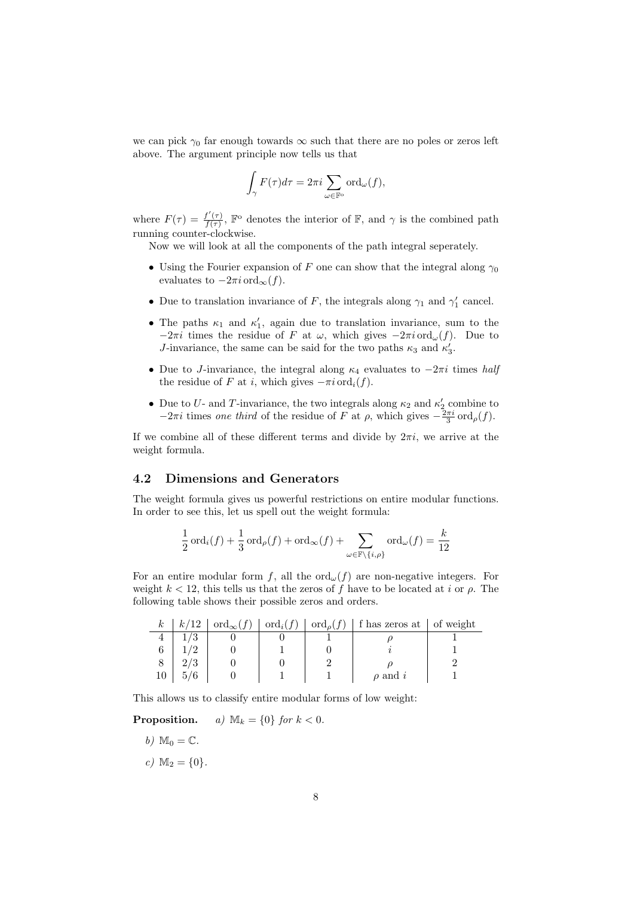we can pick  $\gamma_0$  far enough towards  $\infty$  such that there are no poles or zeros left above. The argument principle now tells us that

$$
\int_{\gamma} F(\tau) d\tau = 2\pi i \sum_{\omega \in \mathbb{F}^{\circ}} \text{ord}_{\omega}(f),
$$

where  $F(\tau) = \frac{f'(\tau)}{f(\tau)}$  $\frac{f'(\tau)}{f(\tau)}$ ,  $\mathbb{F}^{\circ}$  denotes the interior of  $\mathbb{F}$ , and  $\gamma$  is the combined path running counter-clockwise.

Now we will look at all the components of the path integral seperately.

- Using the Fourier expansion of F one can show that the integral along  $\gamma_0$ evaluates to  $-2\pi i \text{ ord}_{\infty}(f)$ .
- Due to translation invariance of F, the integrals along  $\gamma_1$  and  $\gamma'_1$  cancel.
- The paths  $\kappa_1$  and  $\kappa'_1$ , again due to translation invariance, sum to the  $-2\pi i$  times the residue of F at  $\omega$ , which gives  $-2\pi i \text{ ord}_{\omega}(f)$ . Due to J-invariance, the same can be said for the two paths  $\kappa_3$  and  $\kappa'_3$ .
- Due to J-invariance, the integral along  $\kappa_4$  evaluates to  $-2\pi i$  times half the residue of F at i, which gives  $-\pi i \text{ord}_i(f)$ .
- Due to U- and T-invariance, the two integrals along  $\kappa_2$  and  $\kappa'_2$  combine to  $-2\pi i$  times one third of the residue of F at  $\rho$ , which gives  $-\frac{2\pi i}{3} \text{ord}_{\rho}(f)$ .

If we combine all of these different terms and divide by  $2\pi i$ , we arrive at the weight formula.

## 4.2 Dimensions and Generators

The weight formula gives us powerful restrictions on entire modular functions. In order to see this, let us spell out the weight formula:

$$
\frac{1}{2}\operatorname{ord}_i(f)+\frac{1}{3}\operatorname{ord}_\rho(f)+\operatorname{ord}_\infty(f)+\sum_{\omega\in\mathbb{F}\backslash\{i,\rho\}}\operatorname{ord}_\omega(f)=\frac{k}{12}
$$

For an entire modular form f, all the  $\text{ord}_{\omega}(f)$  are non-negative integers. For weight  $k < 12$ , this tells us that the zeros of f have to be located at i or  $\rho$ . The following table shows their possible zeros and orders.

| $\kappa$ | k/12 | $\vert \text{ord}_{\infty}(f) \vert \text{ord}_{i}(f) \vert \text{ord}_{\rho}(f)$ |  | f has zeros at   of weight |  |
|----------|------|-----------------------------------------------------------------------------------|--|----------------------------|--|
|          |      |                                                                                   |  |                            |  |
|          |      |                                                                                   |  |                            |  |
|          |      |                                                                                   |  |                            |  |
| 10       |      |                                                                                   |  | $\rho$ and i               |  |

This allows us to classify entire modular forms of low weight:

**Proposition.** a)  $\mathbb{M}_k = \{0\}$  for  $k < 0$ .

- b)  $\mathbb{M}_0 = \mathbb{C}$ .
- c)  $M_2 = \{0\}.$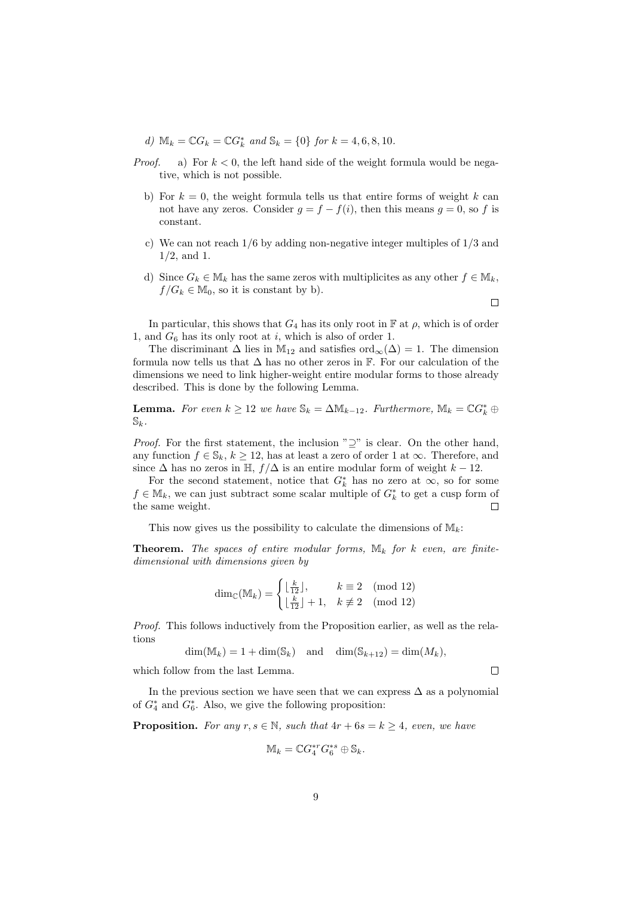d)  $\mathbb{M}_k = \mathbb{C}G_k = \mathbb{C}G_k^*$  and  $\mathbb{S}_k = \{0\}$  for  $k = 4, 6, 8, 10$ .

- *Proof.* a) For  $k < 0$ , the left hand side of the weight formula would be negative, which is not possible.
	- b) For  $k = 0$ , the weight formula tells us that entire forms of weight k can not have any zeros. Consider  $g = f - f(i)$ , then this means  $g = 0$ , so f is constant.
	- c) We can not reach 1/6 by adding non-negative integer multiples of 1/3 and 1/2, and 1.
	- d) Since  $G_k \in M_k$  has the same zeros with multiplicites as any other  $f \in M_k$ ,  $f/G_k \in \mathbb{M}_0$ , so it is constant by b).

 $\Box$ 

In particular, this shows that  $G_4$  has its only root in  $\mathbb F$  at  $\rho$ , which is of order 1, and  $G_6$  has its only root at  $i$ , which is also of order 1.

The discriminant  $\Delta$  lies in M<sub>12</sub> and satisfies ord<sub>∞</sub>( $\Delta$ ) = 1. The dimension formula now tells us that  $\Delta$  has no other zeros in  $\mathbb F$ . For our calculation of the dimensions we need to link higher-weight entire modular forms to those already described. This is done by the following Lemma.

**Lemma.** For even  $k \geq 12$  we have  $\mathbb{S}_k = \Delta \mathbb{M}_{k-12}$ . Furthermore,  $\mathbb{M}_k = \mathbb{C} G_k^* \oplus$  $\mathbb{S}_k$ .

*Proof.* For the first statement, the inclusion " $\supseteq$ " is clear. On the other hand, any function  $f \in \mathbb{S}_k$ ,  $k \geq 12$ , has at least a zero of order 1 at  $\infty$ . Therefore, and since  $\Delta$  has no zeros in H,  $f/\Delta$  is an entire modular form of weight  $k - 12$ .

For the second statement, notice that  $G_k^*$  has no zero at  $\infty$ , so for some  $f \in M_k$ , we can just subtract some scalar multiple of  $G_k^*$  to get a cusp form of the same weight.  $\Box$ 

This now gives us the possibility to calculate the dimensions of  $M_k$ :

**Theorem.** The spaces of entire modular forms,  $\mathbb{M}_k$  for k even, are finitedimensional with dimensions given by

$$
\dim_{\mathbb{C}}(\mathbb{M}_{k}) = \begin{cases} \lfloor \frac{k}{12} \rfloor, & k \equiv 2 \pmod{12} \\ \lfloor \frac{k}{12} \rfloor + 1, & k \not\equiv 2 \pmod{12} \end{cases}
$$

Proof. This follows inductively from the Proposition earlier, as well as the relations

$$
\dim(\mathbb{M}_k) = 1 + \dim(\mathbb{S}_k) \quad \text{and} \quad \dim(\mathbb{S}_{k+12}) = \dim(M_k),
$$

which follow from the last Lemma.

In the previous section we have seen that we can express  $\Delta$  as a polynomial of  $G_4^*$  and  $G_6^*$ . Also, we give the following proposition:

**Proposition.** For any  $r, s \in \mathbb{N}$ , such that  $4r + 6s = k \geq 4$ , even, we have

$$
\mathbb{M}_k = \mathbb{C} G_4^{*r} G_6^{*s} \oplus \mathbb{S}_k.
$$

 $\Box$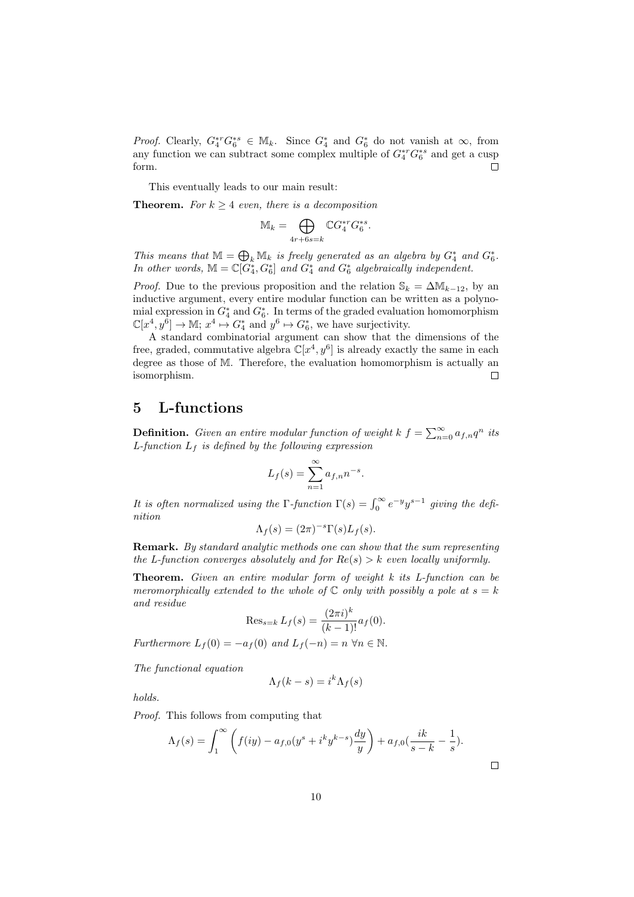*Proof.* Clearly,  $G_4^*^*G_6^{*s} \in M_k$ . Since  $G_4^*$  and  $G_6^*$  do not vanish at  $\infty$ , from any function we can subtract some complex multiple of  $G_4^{*r}G_6^{*s}$  and get a cusp form.  $\Box$ 

This eventually leads to our main result:

**Theorem.** For  $k \geq 4$  even, there is a decomposition

$$
\mathbb{M}_k = \bigoplus_{4r+6s=k} \mathbb{C} G_4^{*r} G_6^{*s}.
$$

This means that  $\mathbb{M} = \bigoplus_k \mathbb{M}_k$  is freely generated as an algebra by  $G_4^*$  and  $G_6^*$ . In other words,  $\mathbb{M} = \mathbb{C}[G_4^*, G_6^*]$  and  $G_4^*$  and  $G_6^*$  algebraically independent.

*Proof.* Due to the previous proposition and the relation  $\mathbb{S}_k = \Delta \mathbb{M}_{k-12}$ , by an inductive argument, every entire modular function can be written as a polynomial expression in  $G_4^*$  and  $G_6^*$ . In terms of the graded evaluation homomorphism  $\mathbb{C}[x^4, y^6] \to \mathbb{M}; x^4 \mapsto G_4^*$  and  $y^6 \mapsto G_6^*$ , we have surjectivity.

A standard combinatorial argument can show that the dimensions of the free, graded, commutative algebra  $\mathbb{C}[x^4, y^6]$  is already exactly the same in each degree as those of M. Therefore, the evaluation homomorphism is actually an isomorphism.  $\Box$ 

# 5 L-functions

**Definition.** Given an entire modular function of weight  $k \, f = \sum_{n=0}^{\infty} a_{f,n} q^n$  its L-function  $L_f$  is defined by the following expression

$$
L_f(s) = \sum_{n=1}^{\infty} a_{f,n} n^{-s}.
$$

It is often normalized using the  $\Gamma$ -function  $\Gamma(s) = \int_0^\infty e^{-y} y^{s-1}$  giving the definition

$$
\Lambda_f(s) = (2\pi)^{-s} \Gamma(s) L_f(s).
$$

**Remark.** By standard analytic methods one can show that the sum representing the L-function converges absolutely and for  $Re(s) > k$  even locally uniformly.

**Theorem.** Given an entire modular form of weight  $k$  its  $L$ -function can be meromorphically extended to the whole of  $\mathbb C$  only with possibly a pole at  $s = k$ and residue

$$
\operatorname{Res}_{s=k} L_f(s) = \frac{(2\pi i)^k}{(k-1)!} a_f(0).
$$

Furthermore  $L_f(0) = -a_f(0)$  and  $L_f(-n) = n \,\forall n \in \mathbb{N}$ .

The functional equation

$$
\Lambda_f(k-s) = i^k \Lambda_f(s)
$$

holds.

Proof. This follows from computing that

$$
\Lambda_f(s) = \int_1^{\infty} \left( f(iy) - a_{f,0}(y^s + i^k y^{k-s}) \frac{dy}{y} \right) + a_{f,0} \left( \frac{ik}{s-k} - \frac{1}{s} \right).
$$

 $\Box$